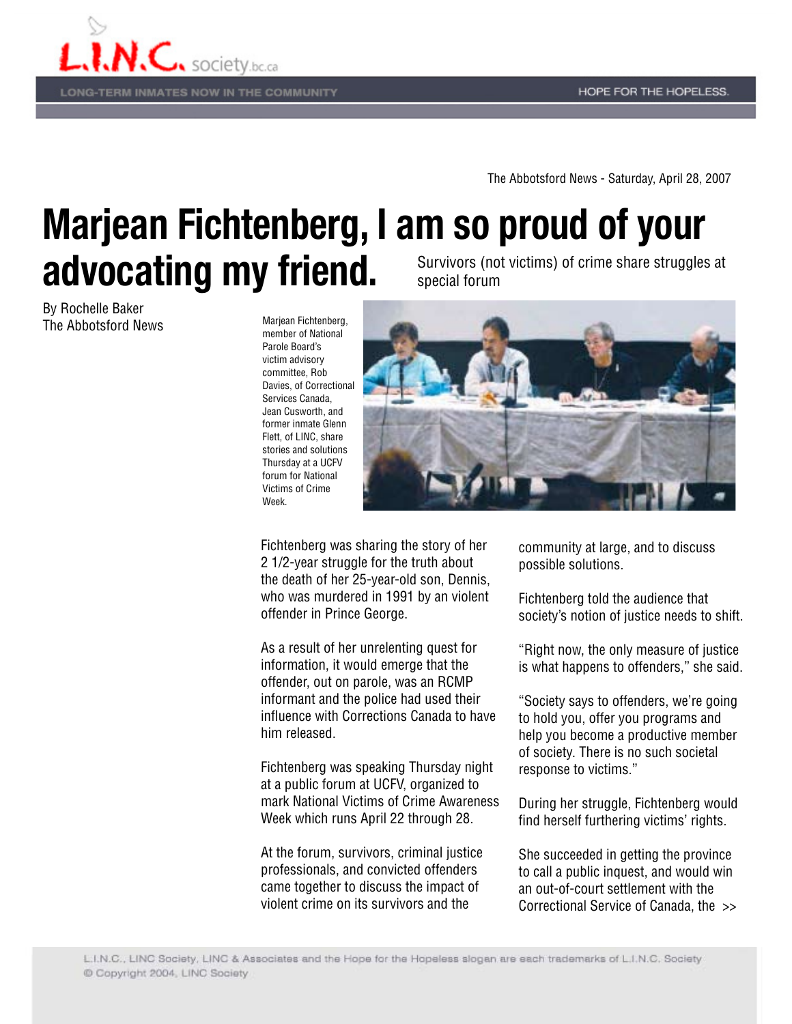

**LONG-TERM INMATES NOW IN THE COMMUNITY** 

The Abbotsford News - Saturday, April 28, 2007

## **Marjean Fichtenberg, I am so proud of your advocating my friend.** Survivors (not victims) of crime share struggles at special forum

By Rochelle Baker The Abbotsford News

Marjean Fichtenberg, member of National Parole Board's victim advisory committee, Rob Davies, of Correctional Services Canada, Jean Cusworth, and former inmate Glenn Flett, of LINC, share stories and solutions Thursday at a UCFV forum for National Victims of Crime Week.



Fichtenberg was sharing the story of her 2 1/2-year struggle for the truth about the death of her 25-year-old son, Dennis, who was murdered in 1991 by an violent offender in Prince George.

As a result of her unrelenting quest for information, it would emerge that the offender, out on parole, was an RCMP informant and the police had used their influence with Corrections Canada to have him released.

Fichtenberg was speaking Thursday night at a public forum at UCFV, organized to mark National Victims of Crime Awareness Week which runs April 22 through 28.

At the forum, survivors, criminal justice professionals, and convicted offenders came together to discuss the impact of violent crime on its survivors and the

community at large, and to discuss possible solutions.

Fichtenberg told the audience that society's notion of justice needs to shift.

"Right now, the only measure of justice is what happens to offenders," she said.

"Society says to offenders, we're going to hold you, offer you programs and help you become a productive member of society. There is no such societal response to victims."

During her struggle, Fichtenberg would find herself furthering victims' rights.

She succeeded in getting the province to call a public inquest, and would win an out-of-court settlement with the Correctional Service of Canada, the >>